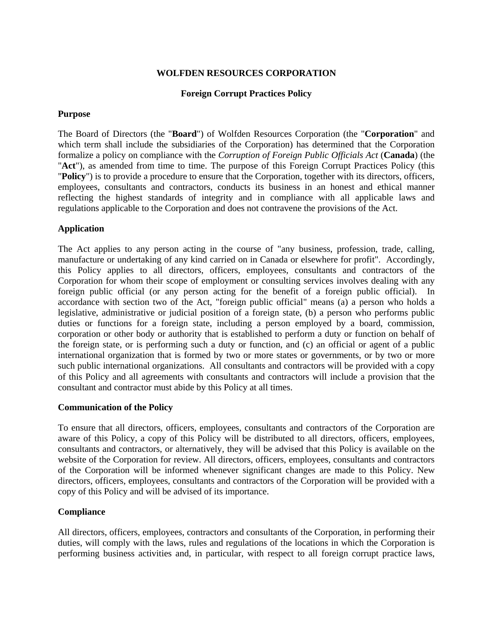## **WOLFDEN RESOURCES CORPORATION**

## **Foreign Corrupt Practices Policy**

#### **Purpose**

The Board of Directors (the "**Board**") of Wolfden Resources Corporation (the "**Corporation**" and which term shall include the subsidiaries of the Corporation) has determined that the Corporation formalize a policy on compliance with the *Corruption of Foreign Public Officials Act* (**Canada**) (the "**Act**"), as amended from time to time. The purpose of this Foreign Corrupt Practices Policy (this "**Policy**") is to provide a procedure to ensure that the Corporation, together with its directors, officers, employees, consultants and contractors, conducts its business in an honest and ethical manner reflecting the highest standards of integrity and in compliance with all applicable laws and regulations applicable to the Corporation and does not contravene the provisions of the Act.

## **Application**

The Act applies to any person acting in the course of "any business, profession, trade, calling, manufacture or undertaking of any kind carried on in Canada or elsewhere for profit". Accordingly, this Policy applies to all directors, officers, employees, consultants and contractors of the Corporation for whom their scope of employment or consulting services involves dealing with any foreign public official (or any person acting for the benefit of a foreign public official). In accordance with section two of the Act, "foreign public official" means (a) a person who holds a legislative, administrative or judicial position of a foreign state, (b) a person who performs public duties or functions for a foreign state, including a person employed by a board, commission, corporation or other body or authority that is established to perform a duty or function on behalf of the foreign state, or is performing such a duty or function, and (c) an official or agent of a public international organization that is formed by two or more states or governments, or by two or more such public international organizations. All consultants and contractors will be provided with a copy of this Policy and all agreements with consultants and contractors will include a provision that the consultant and contractor must abide by this Policy at all times.

#### **Communication of the Policy**

To ensure that all directors, officers, employees, consultants and contractors of the Corporation are aware of this Policy, a copy of this Policy will be distributed to all directors, officers, employees, consultants and contractors, or alternatively, they will be advised that this Policy is available on the website of the Corporation for review. All directors, officers, employees, consultants and contractors of the Corporation will be informed whenever significant changes are made to this Policy. New directors, officers, employees, consultants and contractors of the Corporation will be provided with a copy of this Policy and will be advised of its importance.

# **Compliance**

All directors, officers, employees, contractors and consultants of the Corporation, in performing their duties, will comply with the laws, rules and regulations of the locations in which the Corporation is performing business activities and, in particular, with respect to all foreign corrupt practice laws,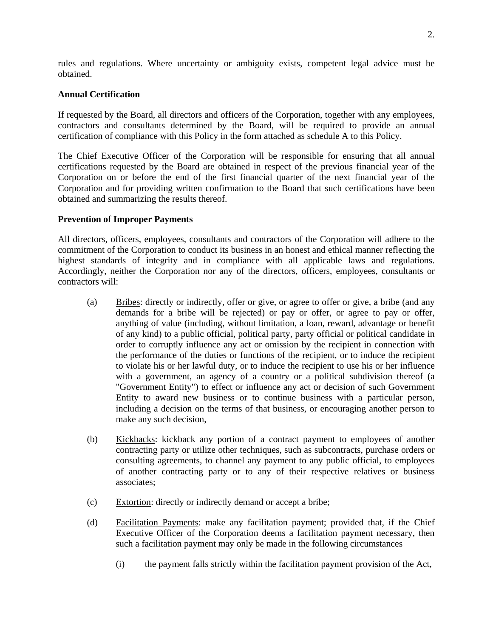rules and regulations. Where uncertainty or ambiguity exists, competent legal advice must be obtained.

## **Annual Certification**

If requested by the Board, all directors and officers of the Corporation, together with any employees, contractors and consultants determined by the Board, will be required to provide an annual certification of compliance with this Policy in the form attached as schedule A to this Policy.

The Chief Executive Officer of the Corporation will be responsible for ensuring that all annual certifications requested by the Board are obtained in respect of the previous financial year of the Corporation on or before the end of the first financial quarter of the next financial year of the Corporation and for providing written confirmation to the Board that such certifications have been obtained and summarizing the results thereof.

## **Prevention of Improper Payments**

All directors, officers, employees, consultants and contractors of the Corporation will adhere to the commitment of the Corporation to conduct its business in an honest and ethical manner reflecting the highest standards of integrity and in compliance with all applicable laws and regulations. Accordingly, neither the Corporation nor any of the directors, officers, employees, consultants or contractors will:

- (a) Bribes: directly or indirectly, offer or give, or agree to offer or give, a bribe (and any demands for a bribe will be rejected) or pay or offer, or agree to pay or offer, anything of value (including, without limitation, a loan, reward, advantage or benefit of any kind) to a public official, political party, party official or political candidate in order to corruptly influence any act or omission by the recipient in connection with the performance of the duties or functions of the recipient, or to induce the recipient to violate his or her lawful duty, or to induce the recipient to use his or her influence with a government, an agency of a country or a political subdivision thereof (a "Government Entity") to effect or influence any act or decision of such Government Entity to award new business or to continue business with a particular person, including a decision on the terms of that business, or encouraging another person to make any such decision,
- (b) Kickbacks: kickback any portion of a contract payment to employees of another contracting party or utilize other techniques, such as subcontracts, purchase orders or consulting agreements, to channel any payment to any public official, to employees of another contracting party or to any of their respective relatives or business associates;
- (c) Extortion: directly or indirectly demand or accept a bribe;
- (d) Facilitation Payments: make any facilitation payment; provided that, if the Chief Executive Officer of the Corporation deems a facilitation payment necessary, then such a facilitation payment may only be made in the following circumstances
	- (i) the payment falls strictly within the facilitation payment provision of the Act,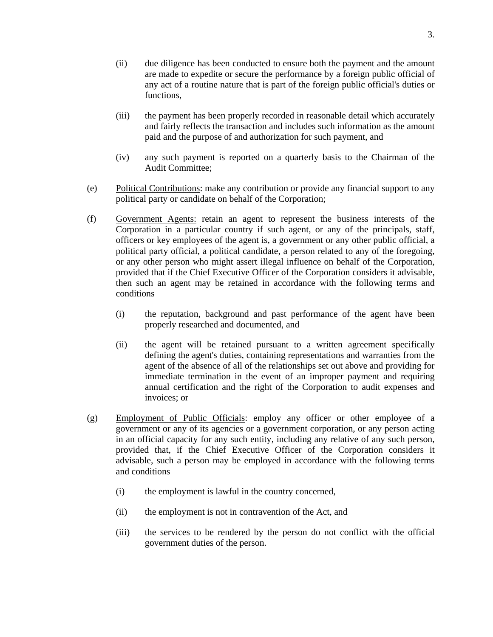- (ii) due diligence has been conducted to ensure both the payment and the amount are made to expedite or secure the performance by a foreign public official of any act of a routine nature that is part of the foreign public official's duties or functions,
- (iii) the payment has been properly recorded in reasonable detail which accurately and fairly reflects the transaction and includes such information as the amount paid and the purpose of and authorization for such payment, and
- (iv) any such payment is reported on a quarterly basis to the Chairman of the Audit Committee;
- (e) Political Contributions: make any contribution or provide any financial support to any political party or candidate on behalf of the Corporation;
- (f) Government Agents: retain an agent to represent the business interests of the Corporation in a particular country if such agent, or any of the principals, staff, officers or key employees of the agent is, a government or any other public official, a political party official, a political candidate, a person related to any of the foregoing, or any other person who might assert illegal influence on behalf of the Corporation, provided that if the Chief Executive Officer of the Corporation considers it advisable, then such an agent may be retained in accordance with the following terms and conditions
	- (i) the reputation, background and past performance of the agent have been properly researched and documented, and
	- (ii) the agent will be retained pursuant to a written agreement specifically defining the agent's duties, containing representations and warranties from the agent of the absence of all of the relationships set out above and providing for immediate termination in the event of an improper payment and requiring annual certification and the right of the Corporation to audit expenses and invoices; or
- (g) Employment of Public Officials: employ any officer or other employee of a government or any of its agencies or a government corporation, or any person acting in an official capacity for any such entity, including any relative of any such person, provided that, if the Chief Executive Officer of the Corporation considers it advisable, such a person may be employed in accordance with the following terms and conditions
	- (i) the employment is lawful in the country concerned,
	- (ii) the employment is not in contravention of the Act, and
	- (iii) the services to be rendered by the person do not conflict with the official government duties of the person.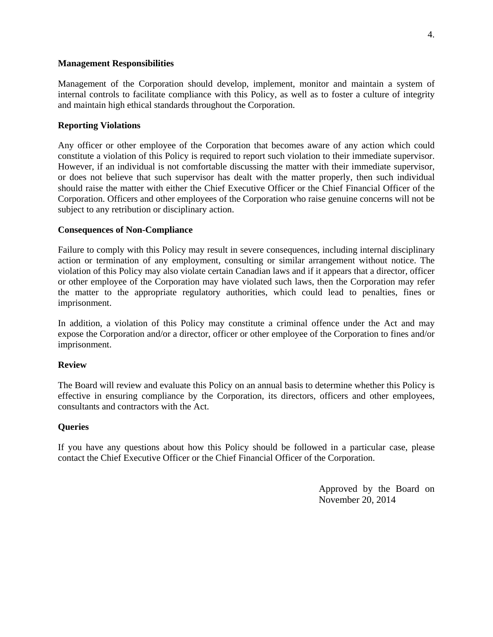#### **Management Responsibilities**

Management of the Corporation should develop, implement, monitor and maintain a system of internal controls to facilitate compliance with this Policy, as well as to foster a culture of integrity and maintain high ethical standards throughout the Corporation.

### **Reporting Violations**

Any officer or other employee of the Corporation that becomes aware of any action which could constitute a violation of this Policy is required to report such violation to their immediate supervisor. However, if an individual is not comfortable discussing the matter with their immediate supervisor, or does not believe that such supervisor has dealt with the matter properly, then such individual should raise the matter with either the Chief Executive Officer or the Chief Financial Officer of the Corporation. Officers and other employees of the Corporation who raise genuine concerns will not be subject to any retribution or disciplinary action.

## **Consequences of Non-Compliance**

Failure to comply with this Policy may result in severe consequences, including internal disciplinary action or termination of any employment, consulting or similar arrangement without notice. The violation of this Policy may also violate certain Canadian laws and if it appears that a director, officer or other employee of the Corporation may have violated such laws, then the Corporation may refer the matter to the appropriate regulatory authorities, which could lead to penalties, fines or imprisonment.

In addition, a violation of this Policy may constitute a criminal offence under the Act and may expose the Corporation and/or a director, officer or other employee of the Corporation to fines and/or imprisonment.

#### **Review**

The Board will review and evaluate this Policy on an annual basis to determine whether this Policy is effective in ensuring compliance by the Corporation, its directors, officers and other employees, consultants and contractors with the Act.

#### **Queries**

If you have any questions about how this Policy should be followed in a particular case, please contact the Chief Executive Officer or the Chief Financial Officer of the Corporation.

> Approved by the Board on November 20, 2014